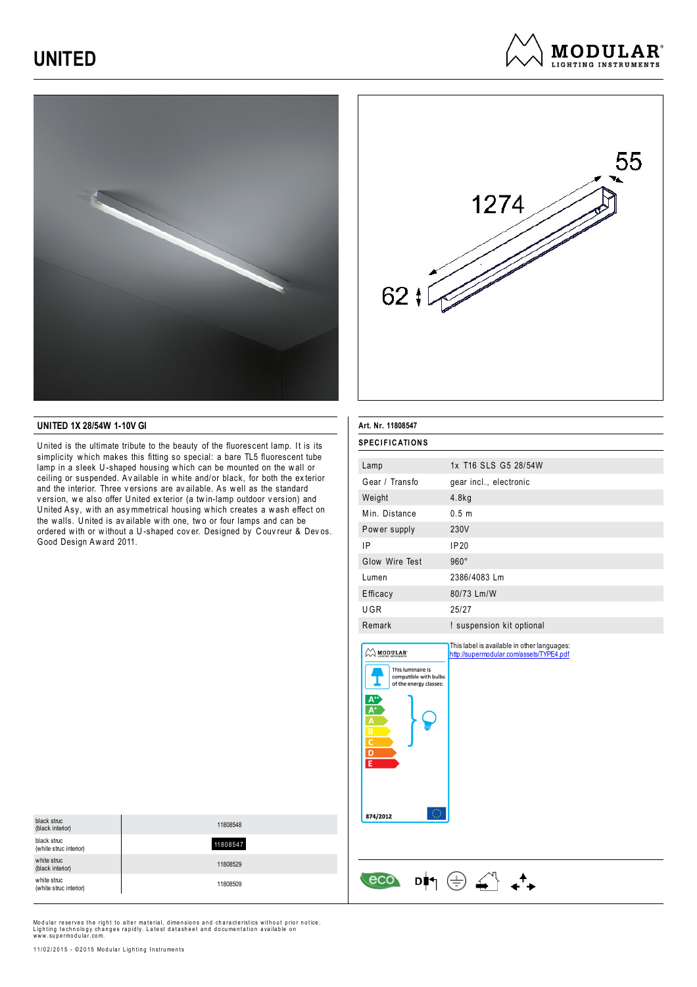# **UNITED**



### **UNITED 1X 28/54W 1-10V GI**

U nited is the ultimate tribute to the beauty of the fluorescent lamp. It is its simplicity w hich makes this fitting so special: a bare TL5 fluorescent tube lamp in a sleek U-shaped housing which can be mounted on the wall or ceiling or suspended. Av ailable in w hite and/or black, for both the ex terior and the interior. Three v ersions are av ailable. As w ell as the standard version, we also offer United exterior (a twin-lamp outdoor version) and U nited Asy, w ith an asy mmetrical housing w hich creates a w ash effect on the walls. United is available with one, two or four lamps and can be ordered w ith or w ithout a U -shaped cov er. Designed by C ouv reur & Dev os. Good Design Aw ard 2011.



**MODULAR**<sup>®</sup> **LIGHTING INSTRUMENTS** 

| <b>SPECIFICATIONS</b><br>1x T16 SLS G5 28/54W<br>Lamp<br>Gear / Transfo<br>gear incl., electronic<br>Weight<br>4.8kg<br>Min. Distance<br>0.5 <sub>m</sub><br>230V<br>Power supply<br>IP<br><b>IP20</b><br>Glow Wire Test<br>$960^\circ$<br>2386/4083 Lm<br>Lumen<br>80/73 Lm/W<br>Efficacy<br>UGR<br>25/27<br>Remark<br>! suspension kit optional<br>This label is available in other languages:<br>MODULAR'<br>http://supermodular.com/assets/TYPE4.pdf<br>This luminaire is<br>compatible with bulbs<br>of the energy classes:<br>A'<br>A<br>B<br>C<br>$\overline{D}$<br>Έ<br>0<br>874/2012 | Art. Nr. 11808547 |  |  |
|-----------------------------------------------------------------------------------------------------------------------------------------------------------------------------------------------------------------------------------------------------------------------------------------------------------------------------------------------------------------------------------------------------------------------------------------------------------------------------------------------------------------------------------------------------------------------------------------------|-------------------|--|--|
|                                                                                                                                                                                                                                                                                                                                                                                                                                                                                                                                                                                               |                   |  |  |
|                                                                                                                                                                                                                                                                                                                                                                                                                                                                                                                                                                                               |                   |  |  |
|                                                                                                                                                                                                                                                                                                                                                                                                                                                                                                                                                                                               |                   |  |  |
|                                                                                                                                                                                                                                                                                                                                                                                                                                                                                                                                                                                               |                   |  |  |
|                                                                                                                                                                                                                                                                                                                                                                                                                                                                                                                                                                                               |                   |  |  |
|                                                                                                                                                                                                                                                                                                                                                                                                                                                                                                                                                                                               |                   |  |  |
|                                                                                                                                                                                                                                                                                                                                                                                                                                                                                                                                                                                               |                   |  |  |
|                                                                                                                                                                                                                                                                                                                                                                                                                                                                                                                                                                                               |                   |  |  |
|                                                                                                                                                                                                                                                                                                                                                                                                                                                                                                                                                                                               |                   |  |  |
|                                                                                                                                                                                                                                                                                                                                                                                                                                                                                                                                                                                               |                   |  |  |
|                                                                                                                                                                                                                                                                                                                                                                                                                                                                                                                                                                                               |                   |  |  |
|                                                                                                                                                                                                                                                                                                                                                                                                                                                                                                                                                                                               |                   |  |  |
|                                                                                                                                                                                                                                                                                                                                                                                                                                                                                                                                                                                               |                   |  |  |

 $\begin{array}{ccc} & & & \\ \hline & & & \\ \hline & & & \\ \hline & & & & \\ \hline & & & & \\ \hline & & & & \\ \hline & & & & \\ \hline & & & & \\ \hline & & & & \\ \hline & & & & \\ \hline & & & & \\ \hline & & & & \\ \hline & & & & \\ \hline & & & & \\ \hline & & & & \\ \hline & & & & \\ \hline & & & & \\ \hline & & & & & \\ \hline & & & & & \\ \hline & & & & & \\ \hline & & & & & \\ \hline & & & & & \\ \hline & & & & & \\ \hline & & & & & \\ \hline & & & & & \\ \hline & & & & & & \\ \$ 

| black struc<br>(black interior)       | 11808548 |
|---------------------------------------|----------|
| black struc<br>(white struc interior) | 11808547 |
| white struc<br>(black interior)       | 11808529 |
| white struc<br>(white struc interior) | 11808509 |

Modular reserves the right to alter material, dimensions and characteristics without prior notice. Lighting technology changes rapidly. Latest datasheet and documentation available on<br>www.supermodular.com.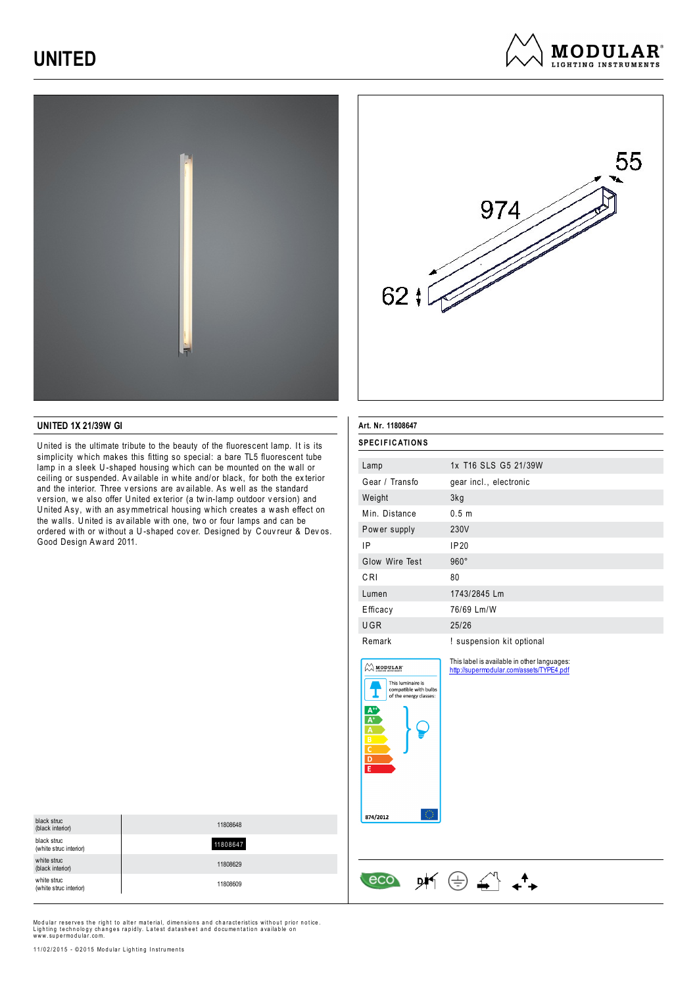# **UNITED**





**MODULAR**<sup>®</sup> **LIGHTING INSTRUMENTS** 

### **UNITED 1X 21/39W GI**

U nited is the ultimate tribute to the beauty of the fluorescent lamp. It is its simplicity w hich makes this fitting so special: a bare TL5 fluorescent tube lamp in a sleek U-shaped housing which can be mounted on the wall or ceiling or suspended. Av ailable in w hite and/or black, for both the ex terior and the interior. Three v ersions are av ailable. As w ell as the standard version, we also offer United exterior (a twin-lamp outdoor version) and U nited Asy, w ith an asy mmetrical housing w hich creates a w ash effect on the walls. United is available with one, two or four lamps and can be ordered w ith or w ithout a U -shaped cov er. Designed by C ouv reur & Dev os. Good Design Aw ard 2011.

| Art. Nr. 11808647                                                                                   |                                                                                         |  |
|-----------------------------------------------------------------------------------------------------|-----------------------------------------------------------------------------------------|--|
| <b>SPECIFICATIONS</b>                                                                               |                                                                                         |  |
| Lamp                                                                                                | 1x T16 SLS G5 21/39W                                                                    |  |
| Gear / Transfo                                                                                      | gear incl., electronic                                                                  |  |
| Weight                                                                                              | 3kg                                                                                     |  |
| Min. Distance                                                                                       | 0.5 <sub>m</sub>                                                                        |  |
| Power supply                                                                                        | 230V                                                                                    |  |
| IP                                                                                                  | <b>IP20</b>                                                                             |  |
| Glow Wire Test                                                                                      | $960^\circ$                                                                             |  |
| CRI                                                                                                 | 80                                                                                      |  |
| Lumen                                                                                               | 1743/2845 Lm                                                                            |  |
| Efficacy                                                                                            | 76/69 Lm/W                                                                              |  |
| UGR                                                                                                 | 25/26                                                                                   |  |
| Remark                                                                                              | ! suspension kit optional                                                               |  |
| $\oslash$ MODULAR<br>This luminaire is<br>compatible with bulbs<br>of the energy classes:<br>D<br>E | This label is available in other languages:<br>http://supermodular.com/assets/TYPE4.pdf |  |
| 874/2012<br>ecc                                                                                     |                                                                                         |  |

| black struc<br>(black interior)       | 11808648 |
|---------------------------------------|----------|
| black struc<br>(white struc interior) | 11808647 |
| white struc<br>(black interior)       | 11808629 |
| white struc<br>(white struc interior) | 11808609 |

Modular reserves the right to alter material, dimensions and characteristics without prior notice. Lighting technology changes rapidly. Latest datasheet and documentation available on<br>www.supermodular.com.